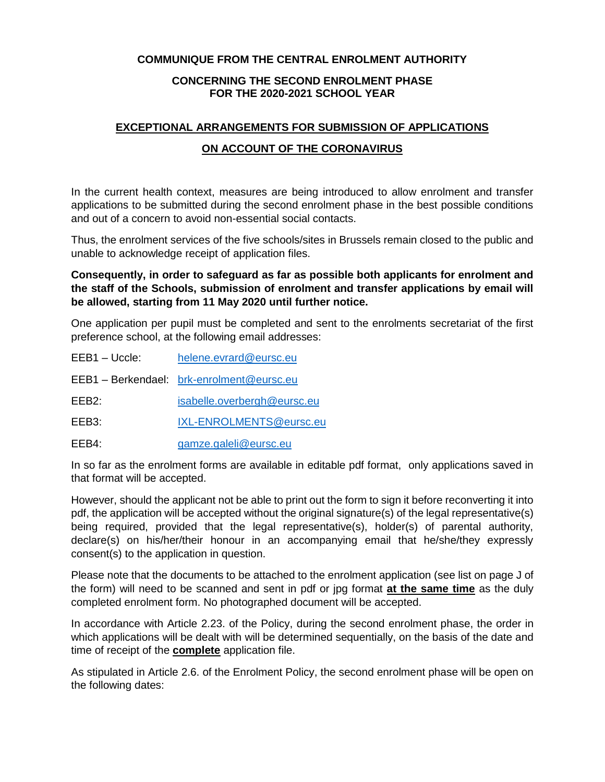## **COMMUNIQUE FROM THE CENTRAL ENROLMENT AUTHORITY**

## **CONCERNING THE SECOND ENROLMENT PHASE FOR THE 2020-2021 SCHOOL YEAR**

## **EXCEPTIONAL ARRANGEMENTS FOR SUBMISSION OF APPLICATIONS**

## **ON ACCOUNT OF THE CORONAVIRUS**

In the current health context, measures are being introduced to allow enrolment and transfer applications to be submitted during the second enrolment phase in the best possible conditions and out of a concern to avoid non-essential social contacts.

Thus, the enrolment services of the five schools/sites in Brussels remain closed to the public and unable to acknowledge receipt of application files.

**Consequently, in order to safeguard as far as possible both applicants for enrolment and the staff of the Schools, submission of enrolment and transfer applications by email will be allowed, starting from 11 May 2020 until further notice.**

One application per pupil must be completed and sent to the enrolments secretariat of the first preference school, at the following email addresses:

EEB1 – Uccle: [helene.evrard@eursc.eu](mailto:helene.evrard@eursc.eu) EEB1 – Berkendael: [brk-enrolment@eursc.eu](mailto:brk-enrolment@eursc.eu) EEB2: [isabelle.overbergh@eursc.eu](mailto:isabelle.overbergh@eursc.eu) EEB3: [IXL-ENROLMENTS@eursc.eu](mailto:IXL-ENROLMENTS@eursc.eu) EEB4: [gamze.galeli@eursc.eu](mailto:gamze.galeli@eursc.eu)

In so far as the enrolment forms are available in editable pdf format, only applications saved in that format will be accepted.

However, should the applicant not be able to print out the form to sign it before reconverting it into pdf, the application will be accepted without the original signature(s) of the legal representative(s) being required, provided that the legal representative(s), holder(s) of parental authority, declare(s) on his/her/their honour in an accompanying email that he/she/they expressly consent(s) to the application in question.

Please note that the documents to be attached to the enrolment application (see list on page J of the form) will need to be scanned and sent in pdf or jpg format **at the same time** as the duly completed enrolment form. No photographed document will be accepted.

In accordance with Article 2.23. of the Policy, during the second enrolment phase, the order in which applications will be dealt with will be determined sequentially, on the basis of the date and time of receipt of the **complete** application file.

As stipulated in Article 2.6. of the Enrolment Policy, the second enrolment phase will be open on the following dates: